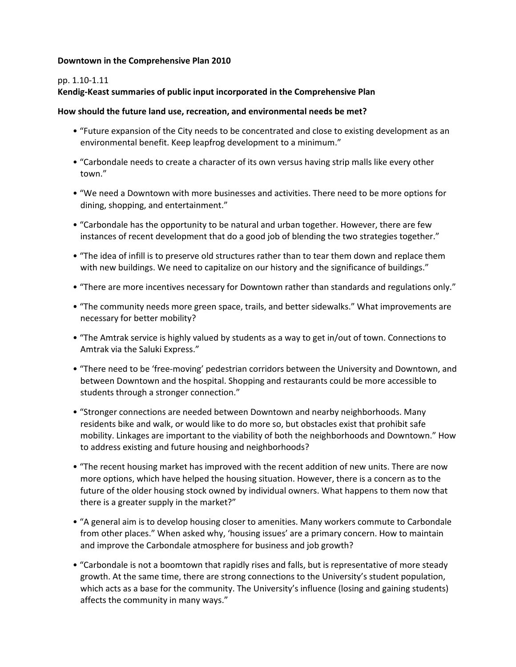#### **Downtown in the Comprehensive Plan 2010**

#### pp. 1.10-1.11

#### Kendig-Keast summaries of public input incorporated in the Comprehensive Plan

#### How should the future land use, recreation, and environmental needs be met?

- "Future expansion of the City needs to be concentrated and close to existing development as an environmental benefit. Keep leapfrog development to a minimum."
- "Carbondale needs to create a character of its own versus having strip malls like every other town."
- "We need a Downtown with more businesses and activities. There need to be more options for dining, shopping, and entertainment."
- "Carbondale has the opportunity to be natural and urban together. However, there are few instances of recent development that do a good job of blending the two strategies together."
- "The idea of infill is to preserve old structures rather than to tear them down and replace them with new buildings. We need to capitalize on our history and the significance of buildings."
- "There are more incentives necessary for Downtown rather than standards and regulations only."
- "The community needs more green space, trails, and better sidewalks." What improvements are necessary for better mobility?
- "The Amtrak service is highly valued by students as a way to get in/out of town. Connections to Amtrak via the Saluki Express."
- "There need to be 'free-moving' pedestrian corridors between the University and Downtown, and between Downtown and the hospital. Shopping and restaurants could be more accessible to students through a stronger connection."
- "Stronger connections are needed between Downtown and nearby neighborhoods. Many residents bike and walk, or would like to do more so, but obstacles exist that prohibit safe mobility. Linkages are important to the viability of both the neighborhoods and Downtown." How to address existing and future housing and neighborhoods?
- "The recent housing market has improved with the recent addition of new units. There are now more options, which have helped the housing situation. However, there is a concern as to the future of the older housing stock owned by individual owners. What happens to them now that there is a greater supply in the market?"
- "A general aim is to develop housing closer to amenities. Many workers commute to Carbondale from other places." When asked why, 'housing issues' are a primary concern. How to maintain and improve the Carbondale atmosphere for business and job growth?
- "Carbondale is not a boomtown that rapidly rises and falls, but is representative of more steady growth. At the same time, there are strong connections to the University's student population, which acts as a base for the community. The University's influence (losing and gaining students) affects the community in many ways."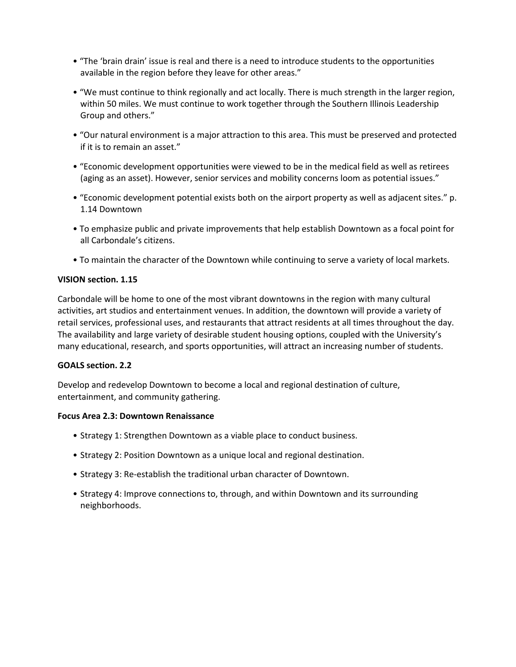- "The 'brain drain' issue is real and there is a need to introduce students to the opportunities available in the region before they leave for other areas."
- "We must continue to think regionally and act locally. There is much strength in the larger region, within 50 miles. We must continue to work together through the Southern Illinois Leadership Group and others."
- "Our natural environment is a major attraction to this area. This must be preserved and protected if it is to remain an asset."
- "Economic development opportunities were viewed to be in the medical field as well as retirees (aging as an asset). However, senior services and mobility concerns loom as potential issues."
- "Economic development potential exists both on the airport property as well as adjacent sites." p. 1.14 Downtown
- To emphasize public and private improvements that help establish Downtown as a focal point for all Carbondale's citizens.
- To maintain the character of the Downtown while continuing to serve a variety of local markets.

#### **VISION section. 1.15**

Carbondale will be home to one of the most vibrant downtowns in the region with many cultural activities, art studios and entertainment venues. In addition, the downtown will provide a variety of retail services, professional uses, and restaurants that attract residents at all times throughout the day. The availability and large variety of desirable student housing options, coupled with the University's many educational, research, and sports opportunities, will attract an increasing number of students.

#### **GOALS section. 2.2**

Develop and redevelop Downtown to become a local and regional destination of culture, entertainment, and community gathering.

#### **Focus Area 2.3: Downtown Renaissance**

- Strategy 1: Strengthen Downtown as a viable place to conduct business.
- Strategy 2: Position Downtown as a unique local and regional destination.
- Strategy 3: Re-establish the traditional urban character of Downtown.
- Strategy 4: Improve connections to, through, and within Downtown and its surrounding neighborhoods.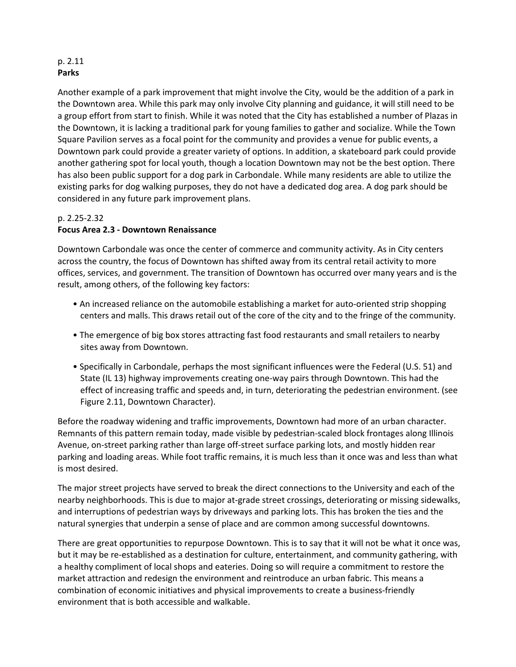### p. 2.11 **Parks**

Another example of a park improvement that might involve the City, would be the addition of a park in the Downtown area. While this park may only involve City planning and guidance, it will still need to be a group effort from start to finish. While it was noted that the City has established a number of Plazas in the Downtown, it is lacking a traditional park for young families to gather and socialize. While the Town Square Pavilion serves as a focal point for the community and provides a venue for public events, a Downtown park could provide a greater variety of options. In addition, a skateboard park could provide another gathering spot for local youth, though a location Downtown may not be the best option. There has also been public support for a dog park in Carbondale. While many residents are able to utilize the existing parks for dog walking purposes, they do not have a dedicated dog area. A dog park should be considered in any future park improvement plans.

# p. 2.25-2.32 **Focus Area 2.3 - Downtown Renaissance**

Downtown Carbondale was once the center of commerce and community activity. As in City centers across the country, the focus of Downtown has shifted away from its central retail activity to more offices, services, and government. The transition of Downtown has occurred over many years and is the result, among others, of the following key factors:

- An increased reliance on the automobile establishing a market for auto-oriented strip shopping centers and malls. This draws retail out of the core of the city and to the fringe of the community.
- The emergence of big box stores attracting fast food restaurants and small retailers to nearby sites away from Downtown.
- Specifically in Carbondale, perhaps the most significant influences were the Federal (U.S. 51) and State (IL 13) highway improvements creating one-way pairs through Downtown. This had the effect of increasing traffic and speeds and, in turn, deteriorating the pedestrian environment. (see Figure 2.11, Downtown Character).

Before the roadway widening and traffic improvements, Downtown had more of an urban character. Remnants of this pattern remain today, made visible by pedestrian-scaled block frontages along Illinois Avenue, on-street parking rather than large off-street surface parking lots, and mostly hidden rear parking and loading areas. While foot traffic remains, it is much less than it once was and less than what is most desired.

The major street projects have served to break the direct connections to the University and each of the nearby neighborhoods. This is due to major at-grade street crossings, deteriorating or missing sidewalks, and interruptions of pedestrian ways by driveways and parking lots. This has broken the ties and the natural synergies that underpin a sense of place and are common among successful downtowns.

There are great opportunities to repurpose Downtown. This is to say that it will not be what it once was, but it may be re-established as a destination for culture, entertainment, and community gathering, with a healthy compliment of local shops and eateries. Doing so will require a commitment to restore the market attraction and redesign the environment and reintroduce an urban fabric. This means a combination of economic initiatives and physical improvements to create a business-friendly environment that is both accessible and walkable.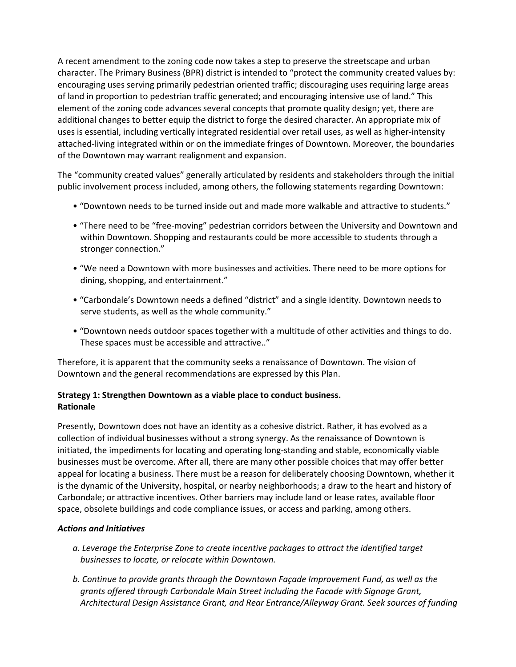A recent amendment to the zoning code now takes a step to preserve the streetscape and urban character. The Primary Business (BPR) district is intended to "protect the community created values by: encouraging uses serving primarily pedestrian oriented traffic; discouraging uses requiring large areas of land in proportion to pedestrian traffic generated; and encouraging intensive use of land." This element of the zoning code advances several concepts that promote quality design; yet, there are additional changes to better equip the district to forge the desired character. An appropriate mix of uses is essential, including vertically integrated residential over retail uses, as well as higher-intensity attached-living integrated within or on the immediate fringes of Downtown. Moreover, the boundaries of the Downtown may warrant realignment and expansion.

The "community created values" generally articulated by residents and stakeholders through the initial public involvement process included, among others, the following statements regarding Downtown:

- "Downtown needs to be turned inside out and made more walkable and attractive to students."
- "There need to be "free-moving" pedestrian corridors between the University and Downtown and within Downtown. Shopping and restaurants could be more accessible to students through a stronger connection."
- "We need a Downtown with more businesses and activities. There need to be more options for dining, shopping, and entertainment."
- "Carbondale's Downtown needs a defined "district" and a single identity. Downtown needs to serve students, as well as the whole community."
- "Downtown needs outdoor spaces together with a multitude of other activities and things to do. These spaces must be accessible and attractive.."

Therefore, it is apparent that the community seeks a renaissance of Downtown. The vision of Downtown and the general recommendations are expressed by this Plan.

## **Strategy 1: Strengthen Downtown as a viable place to conduct business. Rationale**

Presently, Downtown does not have an identity as a cohesive district. Rather, it has evolved as a collection of individual businesses without a strong synergy. As the renaissance of Downtown is initiated, the impediments for locating and operating long-standing and stable, economically viable businesses must be overcome. After all, there are many other possible choices that may offer better appeal for locating a business. There must be a reason for deliberately choosing Downtown, whether it is the dynamic of the University, hospital, or nearby neighborhoods; a draw to the heart and history of Carbondale; or attractive incentives. Other barriers may include land or lease rates, available floor space, obsolete buildings and code compliance issues, or access and parking, among others.

### *Actions and Initiatives*

- *a. Leverage the Enterprise Zone to create incentive packages to attract the identified target*  businesses to locate, or relocate within Downtown.
- *b.* Continue to provide grants through the Downtown Façade Improvement Fund, as well as the grants offered through Carbondale Main Street including the Facade with Signage Grant, Architectural Design Assistance Grant, and Rear Entrance/Alleyway Grant. Seek sources of funding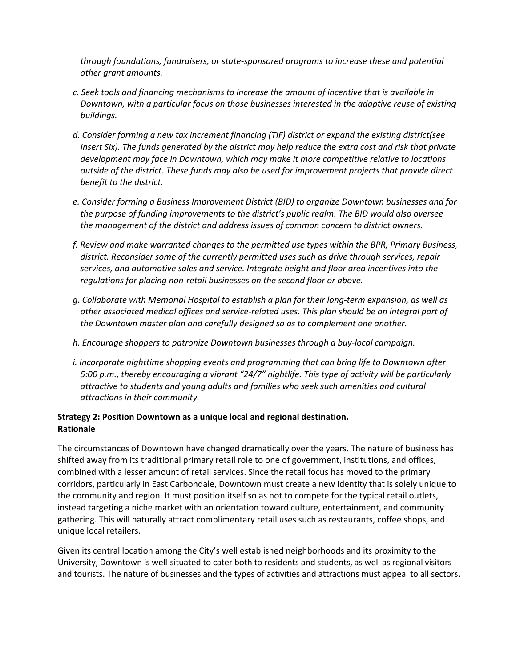*through foundations, fundraisers, or state-sponsored programs to increase these and potential other grant amounts.*

- *c. Seek tools and financing mechanisms to increase the amount of incentive that is available in Downtown, with a particular focus on those businesses interested in the adaptive reuse of existing buildings.*
- *d. Consider forming a new tax increment financing (TIF) district or expand the existing district(see Insert Six). The funds generated by the district may help reduce the extra cost and risk that private* development may face in Downtown, which may make it more competitive relative to locations *outside of the district. These funds may also be used for improvement projects that provide direct benefit to the district.*
- *e. Consider forming a Business Improvement District (BID) to organize Downtown businesses and for*  the purpose of funding improvements to the district's public realm. The BID would also oversee *the management of the district and address issues of common concern to district owners.*
- *f. Review and make warranted changes to the permitted use types within the BPR, Primary Business,*  district. Reconsider some of the currently permitted uses such as drive through services, repair services, and automotive sales and service. Integrate height and floor area incentives into the *requlations for placing non-retail businesses on the second floor or above.*
- *g. Collaborate with Memorial Hospital to establish a plan for their long-term expansion, as well as*  other associated medical offices and service-related uses. This plan should be an integral part of *the Downtown master plan and carefully designed so as to complement one another.*
- *h.* Encourage shoppers to patronize Downtown businesses through a buy-local campaign.
- *i.* Incorporate nighttime shopping events and programming that can bring life to Downtown after *5:00* p.m., thereby encouraging a vibrant "24/7" nightlife. This type of activity will be particularly *attractive to students and young adults and families who seek such amenities and cultural attractions in their community.*

## **Strategy 2: Position Downtown as a unique local and regional destination. Rationale**

The circumstances of Downtown have changed dramatically over the years. The nature of business has shifted away from its traditional primary retail role to one of government, institutions, and offices, combined with a lesser amount of retail services. Since the retail focus has moved to the primary corridors, particularly in East Carbondale, Downtown must create a new identity that is solely unique to the community and region. It must position itself so as not to compete for the typical retail outlets, instead targeting a niche market with an orientation toward culture, entertainment, and community gathering. This will naturally attract complimentary retail uses such as restaurants, coffee shops, and unique local retailers.

Given its central location among the City's well established neighborhoods and its proximity to the University, Downtown is well-situated to cater both to residents and students, as well as regional visitors and tourists. The nature of businesses and the types of activities and attractions must appeal to all sectors.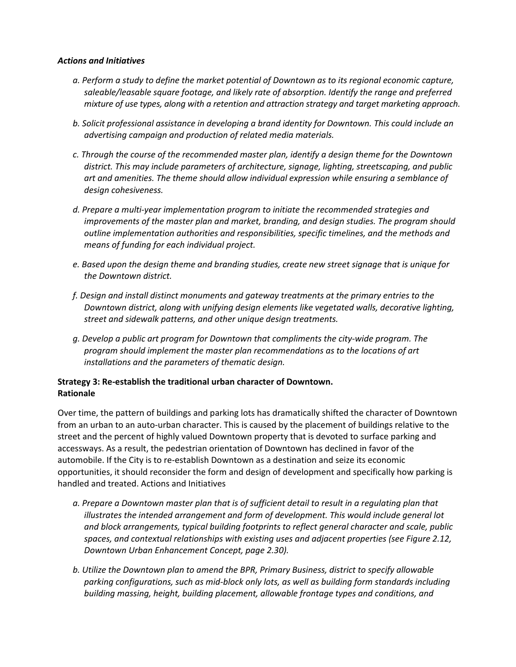#### *Actions and Initiatives*

- *a. Perform a study to define the market potential of Downtown as to its regional economic capture,*  saleable/leasable square footage, and likely rate of absorption. Identify the range and preferred *mixture* of use types, along with a retention and attraction strategy and target marketing approach.
- *b.* Solicit professional assistance in developing a brand identity for Downtown. This could include an *advertising campaign and production of related media materials.*
- *c. Through the course of the recommended master plan, identify a design theme for the Downtown*  district. This may include parameters of architecture, signage, lighting, streetscaping, and public art and amenities. The theme should allow *individual* expression while ensuring a semblance of *design cohesiveness.*
- d. Prepare a multi-year implementation program to initiate the recommended strategies and *improvements of the master plan and market, branding, and design studies. The program should outline implementation authorities and responsibilities, specific timelines, and the methods and means of funding for each individual project.*
- e. Based upon the design theme and branding studies, create new street signage that is unique for *the Downtown district.*
- *f. Design and install distinct monuments and gateway treatments at the primary entries to the Downtown district, along with unifying design elements like vegetated walls, decorative lighting, street and sidewalk patterns, and other unique design treatments.*
- *g. Develop a public art program for Downtown that compliments the city-wide program. The program should implement the master plan recommendations as to the locations of art installations and the parameters of thematic design.*

### **Strategy 3: Re-establish the traditional urban character of Downtown. Rationale**

Over time, the pattern of buildings and parking lots has dramatically shifted the character of Downtown from an urban to an auto-urban character. This is caused by the placement of buildings relative to the street and the percent of highly valued Downtown property that is devoted to surface parking and accessways. As a result, the pedestrian orientation of Downtown has declined in favor of the automobile. If the City is to re-establish Downtown as a destination and seize its economic opportunities, it should reconsider the form and design of development and specifically how parking is handled and treated. Actions and Initiatives

- a. Prepare a Downtown master plan that is of sufficient detail to result in a regulating plan that *illustrates the intended arrangement and form of development. This would include general lot* and block arrangements, typical building footprints to reflect general character and scale, public spaces, and contextual relationships with existing uses and adjacent properties (see Figure 2.12, *Downtown Urban Enhancement Concept, page 2.30).*
- *b.* Utilize the Downtown plan to amend the BPR, Primary Business, district to specify allowable parking configurations, such as mid-block only lots, as well as building form standards including *building massing, height, building placement, allowable frontage types and conditions, and*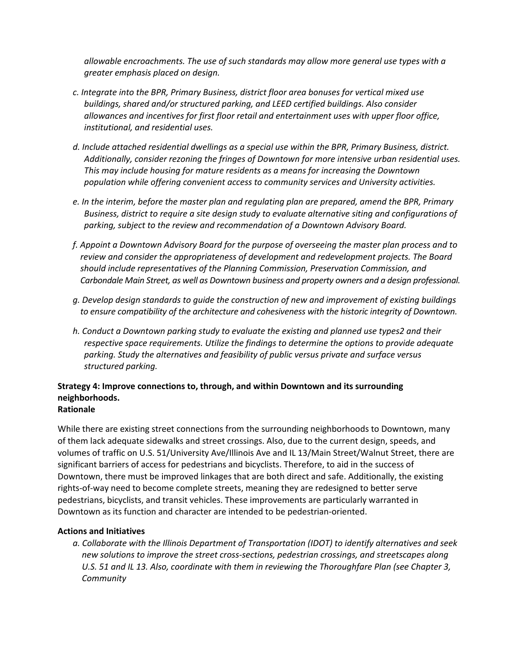*allowable* encroachments. The use of such standards may allow more general use types with a *greater emphasis placed on design.*

- *c. Integrate into the BPR, Primary Business, district floor area bonuses for vertical mixed use buildings, shared and/or structured parking, and LEED certified buildings. Also consider allowances and incentives for first floor retail and entertainment uses with upper floor office, institutional, and residential uses.*
- *d. Include attached residential dwellings as a special use within the BPR, Primary Business, district.*  Additionally, consider rezoning the fringes of Downtown for more intensive urban residential uses. This may include housing for mature residents as a means for increasing the Downtown population while offering convenient access to community services and University activities.
- *e.* In the interim, before the master plan and regulating plan are prepared, amend the BPR, Primary Business, district to require a site design study to evaluate alternative siting and configurations of parking, subject to the review and recommendation of a Downtown Advisory Board.
- *f. Appoint a Downtown Advisory Board for the purpose of overseeing the master plan process and to*  review and consider the appropriateness of development and redevelopment projects. The Board should include representatives of the Planning Commission, Preservation Commission, and Carbondale Main Street, as well as Downtown business and property owners and a design professional.
- *g. Develop design standards to guide the construction of new and improvement of existing buildings*  to ensure compatibility of the architecture and cohesiveness with the historic integrity of Downtown.
- *h.* Conduct a Downtown parking study to evaluate the existing and planned use types2 and their *respective space requirements. Utilize the findings to determine the options to provide adequate parking. Study the alternatives and feasibility of public versus private and surface versus structured parking.*

# **Strategy 4: Improve connections to, through, and within Downtown and its surrounding neighborhoods.**

# **Rationale**

While there are existing street connections from the surrounding neighborhoods to Downtown, many of them lack adequate sidewalks and street crossings. Also, due to the current design, speeds, and volumes of traffic on U.S. 51/University Ave/Illinois Ave and IL 13/Main Street/Walnut Street, there are significant barriers of access for pedestrians and bicyclists. Therefore, to aid in the success of Downtown, there must be improved linkages that are both direct and safe. Additionally, the existing rights-of-way need to become complete streets, meaning they are redesigned to better serve pedestrians, bicyclists, and transit vehicles. These improvements are particularly warranted in Downtown as its function and character are intended to be pedestrian-oriented.

### **Actions and Initiatives**

*a. Collaborate with the Illinois Department of Transportation (IDOT) to identify alternatives and seek*  new solutions to improve the street cross-sections, pedestrian crossings, and streetscapes along U.S. 51 and IL 13. Also, coordinate with them in reviewing the Thoroughfare Plan (see Chapter 3, *Community*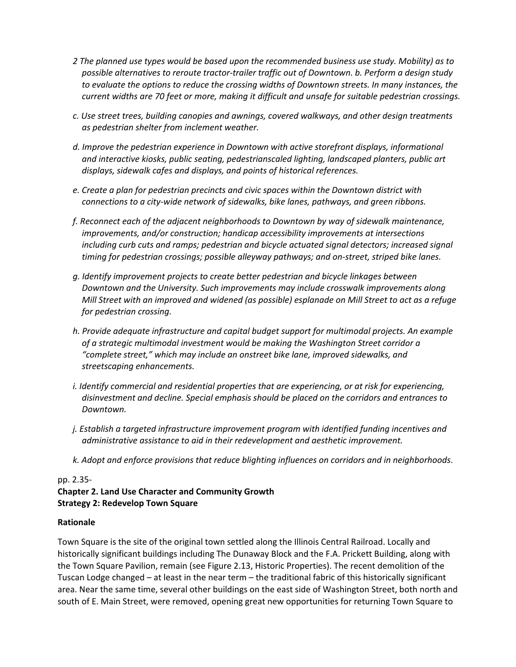- 2 The planned use types would be based upon the recommended business use study. Mobility) as to *possible alternatives to reroute tractor-trailer traffic out of Downtown. b. Perform a design study*  to evaluate the options to reduce the crossing widths of Downtown streets. In many instances, the *current widths are 70 feet or more, making it difficult and unsafe for suitable pedestrian crossings.*
- *c. Use street trees, building canopies and awnings, covered walkways, and other design treatments as pedestrian shelter from inclement weather.*
- d. Improve the pedestrian experience in Downtown with active storefront displays, informational and interactive kiosks, public seating, pedestrianscaled lighting, landscaped planters, public art displays, sidewalk cafes and displays, and points of historical references.
- *e.* Create a plan for pedestrian precincts and civic spaces within the Downtown district with *connections* to a city-wide network of sidewalks, bike lanes, pathways, and green ribbons.
- *f. Reconnect each of the adjacent neighborhoods to Downtown by way of sidewalk maintenance, improvements, and/or construction; handicap accessibility improvements at intersections* including curb cuts and ramps; pedestrian and bicycle actuated signal detectors; increased signal *timing for pedestrian crossings; possible alleyway pathways; and on-street, striped bike lanes.*
- *g. Identify improvement projects to create better pedestrian and bicycle linkages between Downtown* and the University. Such improvements may include crosswalk improvements along *Mill* Street with an improved and widened (as possible) esplanade on Mill Street to act as a refuge *for pedestrian crossing.*
- *h.* Provide adequate infrastructure and capital budget support for multimodal projects. An example of a strategic multimodal investment would be making the Washington Street corridor a *"complete street," which may include an onstreet bike lane, improved sidewalks, and streetscaping enhancements.*
- *i.* Identify commercial and residential properties that are experiencing, or at risk for experiencing, disinvestment and decline. Special emphasis should be placed on the corridors and entrances to *Downtown.*
- *j.* Establish a targeted infrastructure improvement program with identified funding incentives and *administrative assistance to aid in their redevelopment and aesthetic improvement.*
- *k. Adopt and enforce provisions that reduce blighting influences on corridors and in neighborhoods*.

### pp. 2.35-

# **Chapter 2. Land Use Character and Community Growth Strategy 2: Redevelop Town Square**

#### **Rationale**

Town Square is the site of the original town settled along the Illinois Central Railroad. Locally and historically significant buildings including The Dunaway Block and the F.A. Prickett Building, along with the Town Square Pavilion, remain (see Figure 2.13, Historic Properties). The recent demolition of the Tuscan Lodge changed  $-$  at least in the near term  $-$  the traditional fabric of this historically significant area. Near the same time, several other buildings on the east side of Washington Street, both north and south of E. Main Street, were removed, opening great new opportunities for returning Town Square to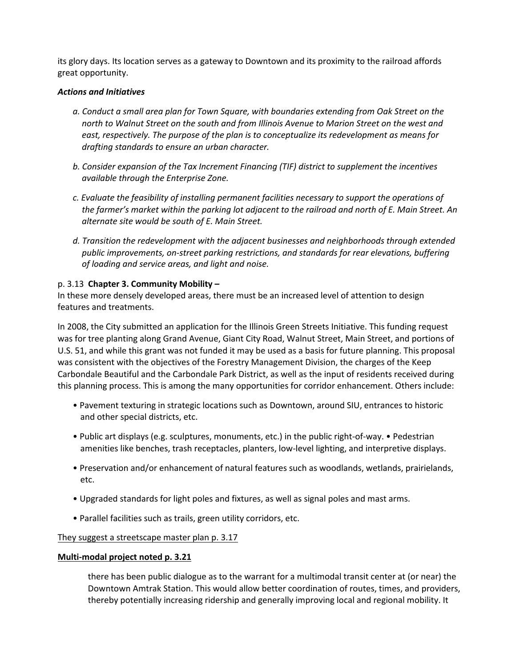its glory days. Its location serves as a gateway to Downtown and its proximity to the railroad affords great opportunity.

#### *Actions and Initiatives*

- a. Conduct a small area plan for Town Square, with boundaries extending from Oak Street on the north to Walnut Street on the south and from Illinois Avenue to Marion Street on the west and *east, respectively.* The purpose of the plan is to conceptualize its redevelopment as means for *drafting standards to ensure an urban character.*
- *b.* Consider expansion of the Tax Increment Financing (TIF) district to supplement the incentives *available through the Enterprise Zone.*
- *c.* Evaluate the feasibility of installing permanent facilities necessary to support the operations of *the farmer's market within the parking lot adjacent to the railroad and north of E. Main Street. An alternate site would be south of E. Main Street.*
- d. Transition the redevelopment with the adjacent businesses and neighborhoods through extended public improvements, on-street parking restrictions, and standards for rear elevations, buffering *of loading and service areas, and light and noise.*

### p. 3.13 **Chapter 3. Community Mobility –**

In these more densely developed areas, there must be an increased level of attention to design features and treatments.

In 2008, the City submitted an application for the Illinois Green Streets Initiative. This funding request was for tree planting along Grand Avenue, Giant City Road, Walnut Street, Main Street, and portions of U.S. 51, and while this grant was not funded it may be used as a basis for future planning. This proposal was consistent with the objectives of the Forestry Management Division, the charges of the Keep Carbondale Beautiful and the Carbondale Park District, as well as the input of residents received during this planning process. This is among the many opportunities for corridor enhancement. Others include:

- Pavement texturing in strategic locations such as Downtown, around SIU, entrances to historic and other special districts, etc.
- Public art displays (e.g. sculptures, monuments, etc.) in the public right-of-way. Pedestrian amenities like benches, trash receptacles, planters, low-level lighting, and interpretive displays.
- Preservation and/or enhancement of natural features such as woodlands, wetlands, prairielands, etc.
- Upgraded standards for light poles and fixtures, as well as signal poles and mast arms.
- Parallel facilities such as trails, green utility corridors, etc.

### They suggest a streetscape master plan p. 3.17

### **Multi-modal project noted p. 3.21**

there has been public dialogue as to the warrant for a multimodal transit center at (or near) the Downtown Amtrak Station. This would allow better coordination of routes, times, and providers, thereby potentially increasing ridership and generally improving local and regional mobility. It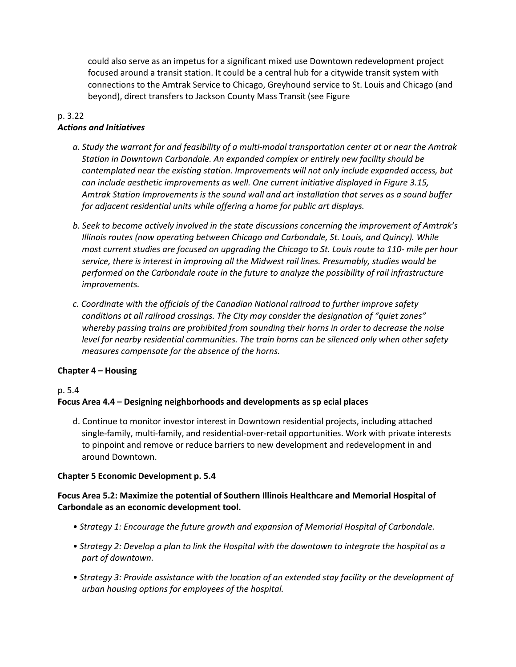could also serve as an impetus for a significant mixed use Downtown redevelopment project focused around a transit station. It could be a central hub for a citywide transit system with connections to the Amtrak Service to Chicago, Greyhound service to St. Louis and Chicago (and beyond), direct transfers to Jackson County Mass Transit (see Figure

#### p. 3.22 *Actions and Initiatives*

- a. Study the warrant for and feasibility of a multi-modal transportation center at or near the Amtrak *Station in Downtown Carbondale. An expanded complex or entirely new facility should be contemplated near the existing station. Improvements will not only include expanded access, but can include aesthetic improvements as well. One current initiative displayed in Figure 3.15,* Amtrak Station Improvements is the sound wall and art installation that serves as a sound buffer *for adjacent residential units* while offering a home for public art displays.
- *b.* Seek to become actively involved in the state discussions concerning the improvement of Amtrak's *Illinois routes (now operating between Chicago and Carbondale, St. Louis, and Quincy). While most current studies are focused on upgrading the Chicago to St. Louis route to 110- mile per hour* service, there is interest in improving all the Midwest rail lines. Presumably, studies would be *performed* on the Carbondale route in the future to analyze the possibility of rail infrastructure *improvements.*
- *c. Coordinate with the officials of the Canadian National railroad to further improve safety conditions at all railroad crossings. The City may consider the designation of "quiet zones"* whereby passing trains are prohibited from sounding their horns in order to decrease the noise *level* for nearby residential communities. The train horns can be silenced only when other safety *measures compensate for the absence of the horns.*

### **Chapter 4 – Housing**

#### p. 5.4

### Focus Area 4.4 – Designing neighborhoods and developments as sp ecial places

d. Continue to monitor investor interest in Downtown residential projects, including attached single-family, multi-family, and residential-over-retail opportunities. Work with private interests to pinpoint and remove or reduce barriers to new development and redevelopment in and around Downtown.

#### **Chapter 5 Economic Development p. 5.4**

### Focus Area 5.2: Maximize the potential of Southern Illinois Healthcare and Memorial Hospital of Carbondale as an economic development tool.

- Strategy 1: Encourage the future growth and expansion of Memorial Hospital of Carbondale.
- Strategy 2: Develop a plan to link the Hospital with the downtown to integrate the hospital as a *part of downtown.*
- Strategy 3: Provide assistance with the location of an extended stay facility or the development of *urban housing options for employees of the hospital.*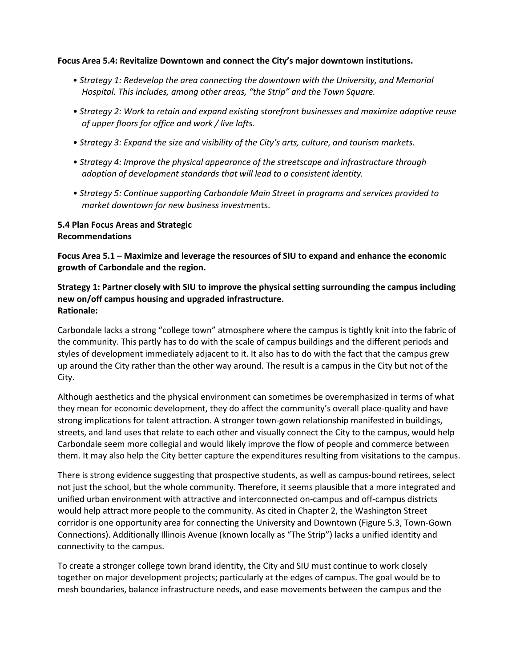#### Focus Area 5.4: Revitalize Downtown and connect the City's major downtown institutions.

- Strategy 1: Redevelop the area connecting the downtown with the University, and Memorial *Hospital. This includes, among other areas, "the Strip" and the Town Square.*
- Strategy 2: Work to retain and expand existing storefront businesses and maximize adaptive reuse of upper floors for office and work / live lofts.
- Strategy 3: Expand the size and visibility of the City's arts, culture, and tourism markets.
- Strategy 4: Improve the physical appearance of the streetscape and infrastructure through *adoption of development standards that will lead to a consistent identity.*
- Strategy 5: Continue supporting Carbondale Main Street in programs and services provided to *market downtown for new business investme*nts.

### **5.4 Plan Focus Areas and Strategic Recommendations**

Focus Area 5.1 – Maximize and leverage the resources of SIU to expand and enhance the economic **growth of Carbondale and the region.**

### **Strategy 1: Partner closely with SIU to improve the physical setting surrounding the campus including new on/off campus housing and upgraded infrastructure. Rationale:**

Carbondale lacks a strong "college town" atmosphere where the campus is tightly knit into the fabric of the community. This partly has to do with the scale of campus buildings and the different periods and styles of development immediately adjacent to it. It also has to do with the fact that the campus grew up around the City rather than the other way around. The result is a campus in the City but not of the City.

Although aesthetics and the physical environment can sometimes be overemphasized in terms of what they mean for economic development, they do affect the community's overall place-quality and have strong implications for talent attraction. A stronger town-gown relationship manifested in buildings, streets, and land uses that relate to each other and visually connect the City to the campus, would help Carbondale seem more collegial and would likely improve the flow of people and commerce between them. It may also help the City better capture the expenditures resulting from visitations to the campus.

There is strong evidence suggesting that prospective students, as well as campus-bound retirees, select not just the school, but the whole community. Therefore, it seems plausible that a more integrated and unified urban environment with attractive and interconnected on-campus and off-campus districts would help attract more people to the community. As cited in Chapter 2, the Washington Street corridor is one opportunity area for connecting the University and Downtown (Figure 5.3, Town-Gown Connections). Additionally Illinois Avenue (known locally as "The Strip") lacks a unified identity and connectivity to the campus.

To create a stronger college town brand identity, the City and SIU must continue to work closely together on major development projects; particularly at the edges of campus. The goal would be to mesh boundaries, balance infrastructure needs, and ease movements between the campus and the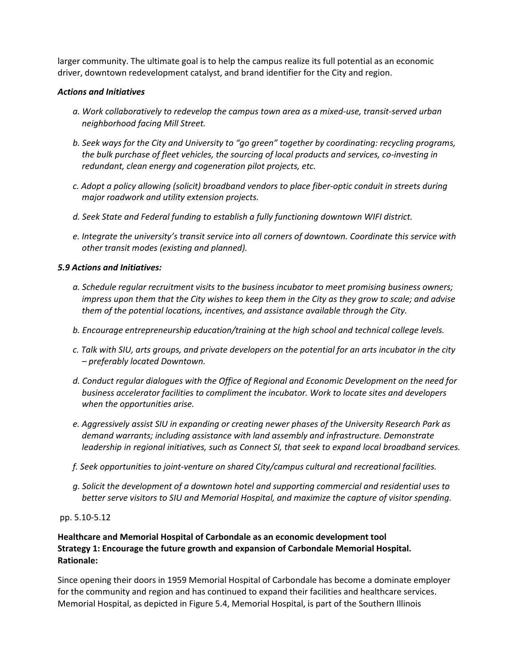larger community. The ultimate goal is to help the campus realize its full potential as an economic driver, downtown redevelopment catalyst, and brand identifier for the City and region.

#### *Actions and Initiatives*

- *a. Work collaboratively to redevelop the campus town area as a mixed-use, transit-served urban neighborhood facing Mill Street.*
- *b.* Seek ways for the City and University to "go green" together by coordinating: recycling programs, *the bulk purchase of fleet vehicles, the sourcing of local products and services, co-investing in redundant, clean energy and cogeneration pilot projects, etc.*
- *c. Adopt a policy allowing (solicit) broadband vendors to place fiber-optic conduit in streets during major roadwork and utility extension projects.*
- *d. Seek State and Federal funding to establish a fully functioning downtown WIFI district.*
- *e.* Integrate the university's transit service into all corners of downtown. Coordinate this service with *other transit modes (existing and planned).*

### *5.9 Actions and Initiatives:*

- *a.* Schedule regular recruitment visits to the business incubator to meet promising business owners; *impress* upon them that the City wishes to keep them in the City as they grow to scale; and advise *them* of the potential locations, incentives, and assistance available through the City.
- *b.* Encourage entrepreneurship education/training at the high school and technical college levels.
- *c. Talk with SIU, arts groups, and private developers on the potential for an arts incubator in the city – preferably located Downtown.*
- d. Conduct regular dialogues with the Office of Regional and Economic Development on the need for *business accelerator facilities to compliment the incubator. Work to locate sites and developers when the opportunities arise.*
- *e. Aggressively assist SIU in expanding or creating newer phases of the University Research Park as*  demand warrants; including assistance with land assembly and infrastructure. Demonstrate *leadership* in regional initiatives, such as Connect SI, that seek to expand local broadband services.
- *f. Seek opportunities to joint-venture on shared City/campus cultural and recreational facilities.*
- *g. Solicit the development of a downtown hotel and supporting commercial and residential uses to better serve visitors to SIU and Memorial Hospital, and maximize the capture of visitor spending.*

### pp. 5.10-5.12

# **Healthcare and Memorial Hospital of Carbondale as an economic development tool Strategy 1: Encourage the future growth and expansion of Carbondale Memorial Hospital. Rationale:**

Since opening their doors in 1959 Memorial Hospital of Carbondale has become a dominate employer for the community and region and has continued to expand their facilities and healthcare services. Memorial Hospital, as depicted in Figure 5.4, Memorial Hospital, is part of the Southern Illinois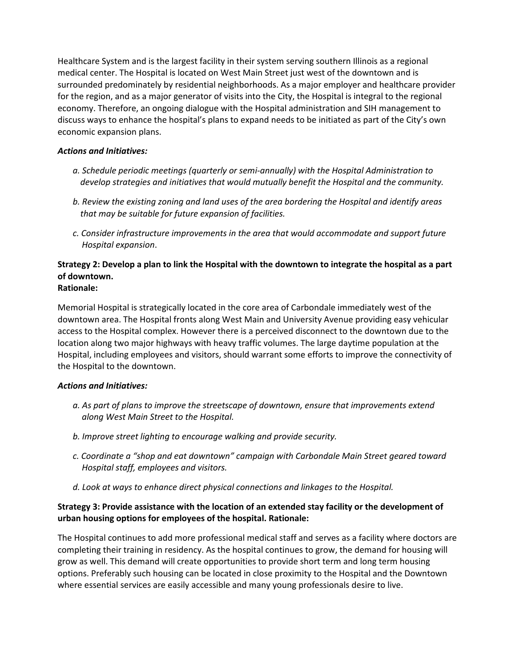Healthcare System and is the largest facility in their system serving southern Illinois as a regional medical center. The Hospital is located on West Main Street just west of the downtown and is surrounded predominately by residential neighborhoods. As a major employer and healthcare provider for the region, and as a major generator of visits into the City, the Hospital is integral to the regional economy. Therefore, an ongoing dialogue with the Hospital administration and SIH management to discuss ways to enhance the hospital's plans to expand needs to be initiated as part of the City's own economic expansion plans.

### *Actions and Initiatives:*

- *a.* Schedule periodic meetings (quarterly or semi-annually) with the Hospital Administration to develop strategies and *initiatives* that would mutually benefit the Hospital and the community.
- *b. Review the existing zoning and land uses of the area bordering the Hospital and identify areas that may be suitable for future expansion of facilities.*
- *c. Consider infrastructure improvements in the area that would accommodate and support future Hospital expansion*.

#### **Strategy 2: Develop a plan to link the Hospital with the downtown to integrate the hospital as a part of downtown. Rationale:**

Memorial Hospital is strategically located in the core area of Carbondale immediately west of the downtown area. The Hospital fronts along West Main and University Avenue providing easy vehicular access to the Hospital complex. However there is a perceived disconnect to the downtown due to the location along two major highways with heavy traffic volumes. The large daytime population at the Hospital, including employees and visitors, should warrant some efforts to improve the connectivity of the Hospital to the downtown.

#### *Actions and Initiatives:*

- a. As part of plans to improve the streetscape of downtown, ensure that improvements extend *along West Main Street to the Hospital.*
- *b. Improve street lighting to encourage walking and provide security.*
- *c. Coordinate a "shop and eat downtown" campaign with Carbondale Main Street geared toward Hospital staff, employees and visitors.*
- *d. Look at ways to enhance direct physical connections and linkages to the Hospital.*

## **Strategy 3: Provide assistance with the location of an extended stay facility or the development of urban housing options for employees of the hospital. Rationale:**

The Hospital continues to add more professional medical staff and serves as a facility where doctors are completing their training in residency. As the hospital continues to grow, the demand for housing will grow as well. This demand will create opportunities to provide short term and long term housing options. Preferably such housing can be located in close proximity to the Hospital and the Downtown where essential services are easily accessible and many young professionals desire to live.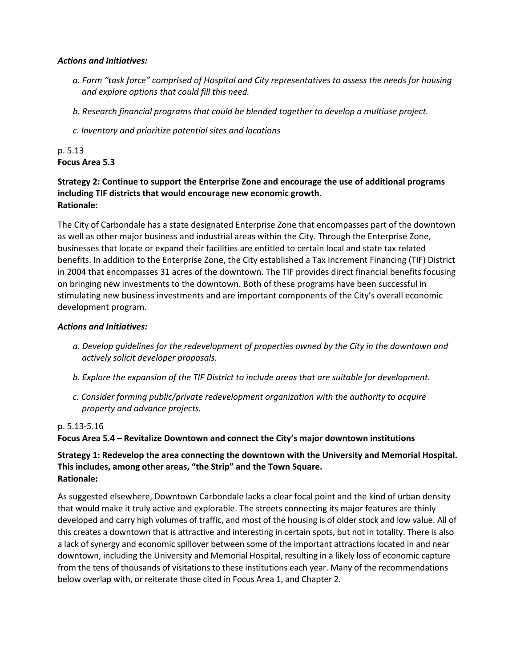#### *Actions and Initiatives:*

- *a. Form "task force" comprised of Hospital and City representatives to assess the needs for housing*  and explore options that could fill this need.
- *b. Research financial programs that could be blended together to develop a multiuse project.*
- *c. Inventory and prioritize potential sites and locations*

# p. 5.13 **Focus Area 5.3**

### **Strategy 2: Continue to support the Enterprise Zone and encourage the use of additional programs including TIF districts that would encourage new economic growth. Rationale:**

The City of Carbondale has a state designated Enterprise Zone that encompasses part of the downtown as well as other major business and industrial areas within the City. Through the Enterprise Zone, businesses that locate or expand their facilities are entitled to certain local and state tax related benefits. In addition to the Enterprise Zone, the City established a Tax Increment Financing (TIF) District in 2004 that encompasses 31 acres of the downtown. The TIF provides direct financial benefits focusing on bringing new investments to the downtown. Both of these programs have been successful in stimulating new business investments and are important components of the City's overall economic development program.

### *Actions and Initiatives:*

- a. Develop guidelines for the redevelopment of properties owned by the City in the downtown and *actively solicit developer proposals.*
- *b.* Explore the expansion of the TIF District to include areas that are suitable for development.
- *c.* Consider forming public/private redevelopment organization with the authority to acquire *property and advance projects.*

### p. 5.13-5.16

### Focus Area 5.4 – Revitalize Downtown and connect the City's major downtown institutions

### **Strategy 1: Redevelop the area connecting the downtown with the University and Memorial Hospital.** This includes, among other areas, "the Strip" and the Town Square. **Rationale:**

As suggested elsewhere, Downtown Carbondale lacks a clear focal point and the kind of urban density that would make it truly active and explorable. The streets connecting its major features are thinly developed and carry high volumes of traffic, and most of the housing is of older stock and low value. All of this creates a downtown that is attractive and interesting in certain spots, but not in totality. There is also a lack of synergy and economic spillover between some of the important attractions located in and near downtown, including the University and Memorial Hospital, resulting in a likely loss of economic capture from the tens of thousands of visitations to these institutions each year. Many of the recommendations below overlap with, or reiterate those cited in Focus Area 1, and Chapter 2.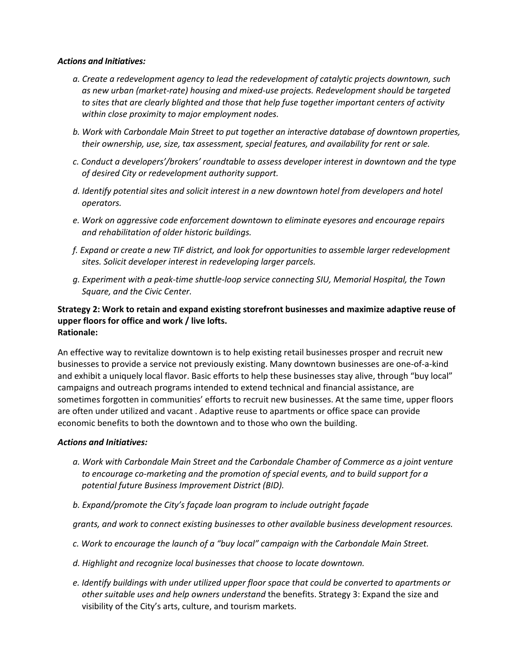#### *Actions and Initiatives:*

- *a. Create a redevelopment agency to lead the redevelopment of catalytic projects downtown, such as new urban (market-rate) housing and mixed-use projects. Redevelopment should be targeted*  to sites that are clearly blighted and those that help fuse together important centers of activity *within close proximity to major employment nodes.*
- *b.* Work with Carbondale Main Street to put together an interactive database of downtown properties, *their* ownership, use, size, tax assessment, special features, and availability for rent or sale.
- *c.* Conduct a developers'/brokers' roundtable to assess developer interest in downtown and the type *of desired City or redevelopment authority support.*
- d. Identify potential sites and solicit interest in a new downtown hotel from developers and hotel *operators.*
- *e. Work on aggressive code enforcement downtown to eliminate eyesores and encourage repairs and rehabilitation of older historic buildings.*
- *f. Expand or create a new TIF district, and look for opportunities to assemble larger redevelopment sites. Solicit developer interest in redeveloping larger parcels.*
- *g. Experiment with a peak-time shuttle-loop service connecting SIU, Memorial Hospital, the Town*  Square, and the Civic Center.

#### Strategy 2: Work to retain and expand existing storefront businesses and maximize adaptive reuse of upper floors for office and work / live lofts. **Rationale:**

An effective way to revitalize downtown is to help existing retail businesses prosper and recruit new businesses to provide a service not previously existing. Many downtown businesses are one-of-a-kind and exhibit a uniquely local flavor. Basic efforts to help these businesses stay alive, through "buy local" campaigns and outreach programs intended to extend technical and financial assistance, are sometimes forgotten in communities' efforts to recruit new businesses. At the same time, upper floors are often under utilized and vacant . Adaptive reuse to apartments or office space can provide economic benefits to both the downtown and to those who own the building.

#### *Actions and Initiatives:*

- a. Work with Carbondale Main Street and the Carbondale Chamber of Commerce as a joint venture *to* encourage co-marketing and the promotion of special events, and to build support for a *potential future Business Improvement District (BID).*
- *b.* Expand/promote the City's façade loan program to include outright façade

*grants, and work to connect existing businesses to other available business development resources.*

- *c. Work to encourage the launch of a "buy local" campaign with the Carbondale Main Street.*
- d. Highlight and recognize local businesses that choose to locate downtown.
- *e.* Identify buildings with under utilized upper floor space that could be converted to apartments or *other suitable uses and help owners understand* the benefits. Strategy 3: Expand the size and visibility of the City's arts, culture, and tourism markets.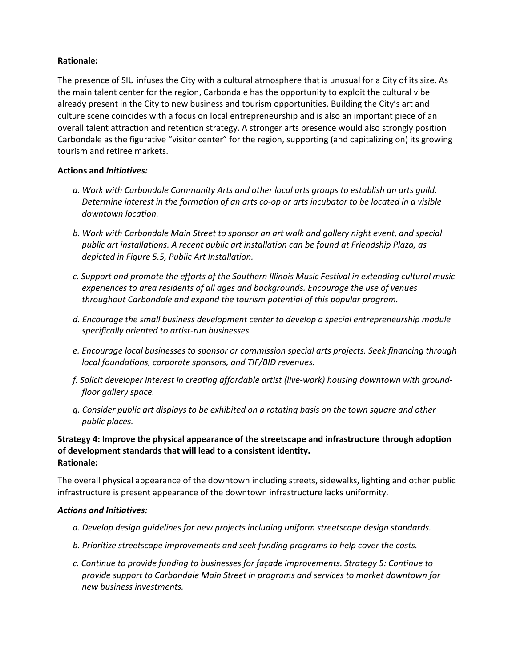### **Rationale:**

The presence of SIU infuses the City with a cultural atmosphere that is unusual for a City of its size. As the main talent center for the region, Carbondale has the opportunity to exploit the cultural vibe already present in the City to new business and tourism opportunities. Building the City's art and culture scene coincides with a focus on local entrepreneurship and is also an important piece of an overall talent attraction and retention strategy. A stronger arts presence would also strongly position Carbondale as the figurative "visitor center" for the region, supporting (and capitalizing on) its growing tourism and retiree markets.

### **Actions and** *Initiatives:*

- a. Work with Carbondale Community Arts and other local arts groups to establish an arts quild. *Determine interest in the formation of an arts co-op or arts incubator to be located in a visible downtown location.*
- b. Work with Carbondale Main Street to sponsor an art walk and gallery night event, and special *public* art installations. A recent public art installation can be found at Friendship Plaza, as depicted in Figure 5.5, Public Art Installation.
- *c. Support and promote the efforts of the Southern Illinois Music Festival in extending cultural music experiences to area residents of all ages and backgrounds. Encourage the use of venues throughout Carbondale and expand the tourism potential of this popular program.*
- d. Encourage the small business development center to develop a special entrepreneurship module *specifically oriented to artist-run businesses.*
- *e. Encourage local businesses to sponsor or commission special arts projects. Seek financing through local foundations, corporate sponsors, and TIF/BID revenues.*
- f. Solicit developer interest in creating affordable artist (live-work) housing downtown with ground*floor gallery space.*
- *g. Consider public art displays to be exhibited on a rotating basis on the town square and other public places.*

### Strategy 4: Improve the physical appearance of the streetscape and infrastructure through adoption **of development standards that will lead to a consistent identity. Rationale:**

The overall physical appearance of the downtown including streets, sidewalks, lighting and other public infrastructure is present appearance of the downtown infrastructure lacks uniformity.

#### *Actions and Initiatives:*

- *a. Develop design guidelines for new projects including uniform streetscape design standards.*
- *b.* Prioritize streetscape improvements and seek funding programs to help cover the costs.
- *c. Continue to provide funding to businesses for façade improvements. Strategy 5: Continue to*  provide support to Carbondale Main Street in programs and services to market downtown for *new business investments.*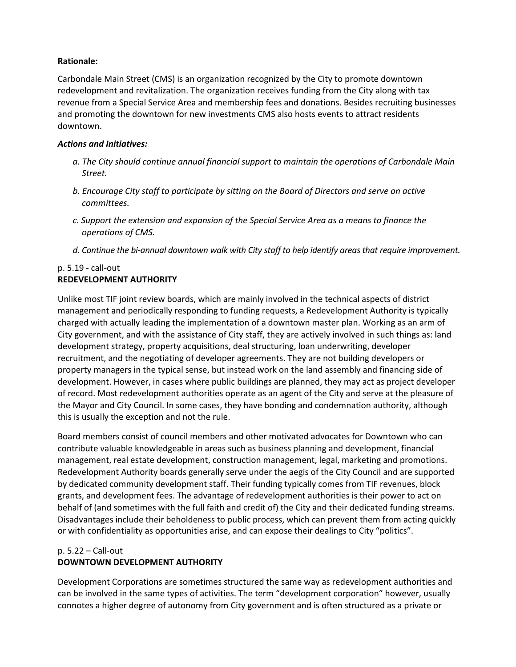### **Rationale:**

Carbondale Main Street (CMS) is an organization recognized by the City to promote downtown redevelopment and revitalization. The organization receives funding from the City along with tax revenue from a Special Service Area and membership fees and donations. Besides recruiting businesses and promoting the downtown for new investments CMS also hosts events to attract residents downtown.

### *Actions and Initiatives:*

- *a.* The City should continue annual financial support to maintain the operations of Carbondale Main *Street.*
- *b.* Encourage City staff to participate by sitting on the Board of Directors and serve on active *committees.*
- *c.* Support the extension and expansion of the Special Service Area as a means to finance the *operations of CMS.*
- *d.* Continue the bi-annual downtown walk with City staff to help identify areas that require improvement.

### $p. 5.19 - call-out$ **REDEVELOPMENT AUTHORITY**

Unlike most TIF joint review boards, which are mainly involved in the technical aspects of district management and periodically responding to funding requests, a Redevelopment Authority is typically charged with actually leading the implementation of a downtown master plan. Working as an arm of City government, and with the assistance of City staff, they are actively involved in such things as: land development strategy, property acquisitions, deal structuring, loan underwriting, developer recruitment, and the negotiating of developer agreements. They are not building developers or property managers in the typical sense, but instead work on the land assembly and financing side of development. However, in cases where public buildings are planned, they may act as project developer of record. Most redevelopment authorities operate as an agent of the City and serve at the pleasure of the Mayor and City Council. In some cases, they have bonding and condemnation authority, although this is usually the exception and not the rule.

Board members consist of council members and other motivated advocates for Downtown who can contribute valuable knowledgeable in areas such as business planning and development, financial management, real estate development, construction management, legal, marketing and promotions. Redevelopment Authority boards generally serve under the aegis of the City Council and are supported by dedicated community development staff. Their funding typically comes from TIF revenues, block grants, and development fees. The advantage of redevelopment authorities is their power to act on behalf of (and sometimes with the full faith and credit of) the City and their dedicated funding streams. Disadvantages include their beholdeness to public process, which can prevent them from acting quickly or with confidentiality as opportunities arise, and can expose their dealings to City "politics".

# $p. 5.22 -$ Call-out **DOWNTOWN DEVELOPMENT AUTHORITY**

Development Corporations are sometimes structured the same way as redevelopment authorities and can be involved in the same types of activities. The term "development corporation" however, usually connotes a higher degree of autonomy from City government and is often structured as a private or